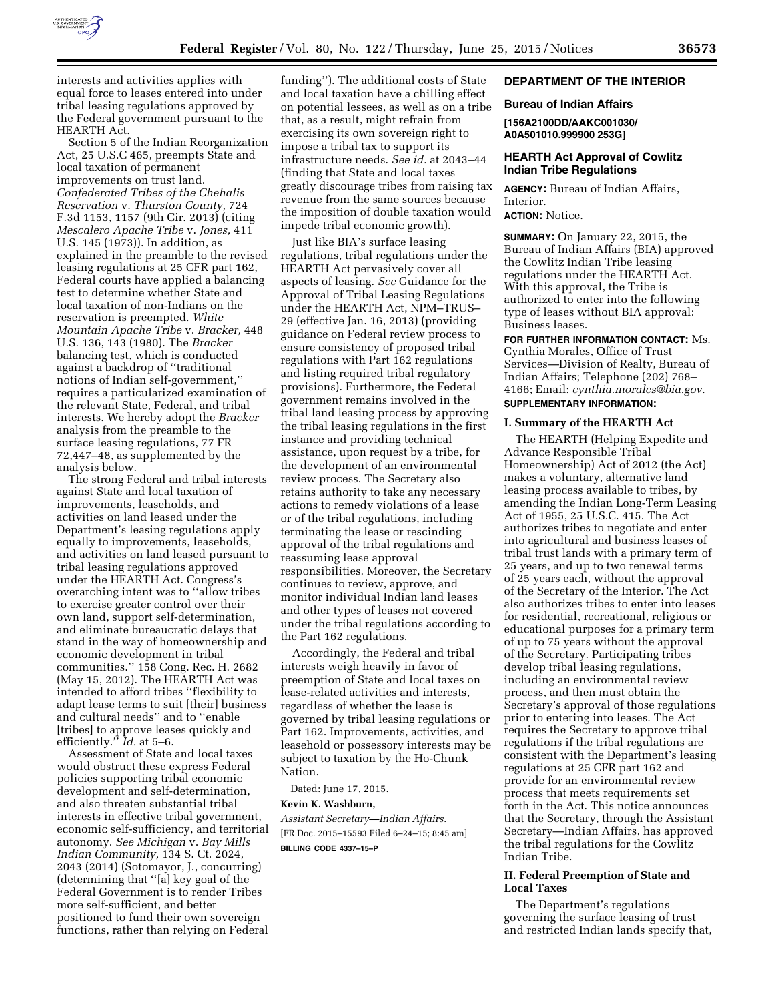

interests and activities applies with equal force to leases entered into under tribal leasing regulations approved by the Federal government pursuant to the HEARTH Act.

Section 5 of the Indian Reorganization Act, 25 U.S.C 465, preempts State and local taxation of permanent improvements on trust land. *Confederated Tribes of the Chehalis Reservation* v. *Thurston County,* 724 F.3d 1153, 1157 (9th Cir. 2013) (citing *Mescalero Apache Tribe* v. *Jones,* 411 U.S. 145 (1973)). In addition, as explained in the preamble to the revised leasing regulations at 25 CFR part 162, Federal courts have applied a balancing test to determine whether State and local taxation of non-Indians on the reservation is preempted. *White Mountain Apache Tribe* v. *Bracker,* 448 U.S. 136, 143 (1980). The *Bracker*  balancing test, which is conducted against a backdrop of ''traditional notions of Indian self-government,'' requires a particularized examination of the relevant State, Federal, and tribal interests. We hereby adopt the *Bracker*  analysis from the preamble to the surface leasing regulations, 77 FR 72,447–48, as supplemented by the analysis below.

The strong Federal and tribal interests against State and local taxation of improvements, leaseholds, and activities on land leased under the Department's leasing regulations apply equally to improvements, leaseholds, and activities on land leased pursuant to tribal leasing regulations approved under the HEARTH Act. Congress's overarching intent was to ''allow tribes to exercise greater control over their own land, support self-determination, and eliminate bureaucratic delays that stand in the way of homeownership and economic development in tribal communities.'' 158 Cong. Rec. H. 2682 (May 15, 2012). The HEARTH Act was intended to afford tribes ''flexibility to adapt lease terms to suit [their] business and cultural needs'' and to ''enable [tribes] to approve leases quickly and efficiently.'' *Id.* at 5–6.

Assessment of State and local taxes would obstruct these express Federal policies supporting tribal economic development and self-determination, and also threaten substantial tribal interests in effective tribal government, economic self-sufficiency, and territorial autonomy. *See Michigan* v. *Bay Mills Indian Community,* 134 S. Ct. 2024, 2043 (2014) (Sotomayor, J., concurring) (determining that ''[a] key goal of the Federal Government is to render Tribes more self-sufficient, and better positioned to fund their own sovereign functions, rather than relying on Federal

funding''). The additional costs of State and local taxation have a chilling effect on potential lessees, as well as on a tribe that, as a result, might refrain from exercising its own sovereign right to impose a tribal tax to support its infrastructure needs. *See id.* at 2043–44 (finding that State and local taxes greatly discourage tribes from raising tax revenue from the same sources because the imposition of double taxation would impede tribal economic growth).

Just like BIA's surface leasing regulations, tribal regulations under the HEARTH Act pervasively cover all aspects of leasing. *See* Guidance for the Approval of Tribal Leasing Regulations under the HEARTH Act, NPM–TRUS– 29 (effective Jan. 16, 2013) (providing guidance on Federal review process to ensure consistency of proposed tribal regulations with Part 162 regulations and listing required tribal regulatory provisions). Furthermore, the Federal government remains involved in the tribal land leasing process by approving the tribal leasing regulations in the first instance and providing technical assistance, upon request by a tribe, for the development of an environmental review process. The Secretary also retains authority to take any necessary actions to remedy violations of a lease or of the tribal regulations, including terminating the lease or rescinding approval of the tribal regulations and reassuming lease approval responsibilities. Moreover, the Secretary continues to review, approve, and monitor individual Indian land leases and other types of leases not covered under the tribal regulations according to the Part 162 regulations.

Accordingly, the Federal and tribal interests weigh heavily in favor of preemption of State and local taxes on lease-related activities and interests, regardless of whether the lease is governed by tribal leasing regulations or Part 162. Improvements, activities, and leasehold or possessory interests may be subject to taxation by the Ho-Chunk Nation.

Dated: June 17, 2015.

# **Kevin K. Washburn,**

*Assistant Secretary—Indian Affairs.*  [FR Doc. 2015–15593 Filed 6–24–15; 8:45 am] **BILLING CODE 4337–15–P** 

# **DEPARTMENT OF THE INTERIOR**

#### **Bureau of Indian Affairs**

**[156A2100DD/AAKC001030/ A0A501010.999900 253G]** 

### **HEARTH Act Approval of Cowlitz Indian Tribe Regulations**

**AGENCY:** Bureau of Indian Affairs, Interior.

# **ACTION:** Notice.

**SUMMARY:** On January 22, 2015, the Bureau of Indian Affairs (BIA) approved the Cowlitz Indian Tribe leasing regulations under the HEARTH Act. With this approval, the Tribe is authorized to enter into the following type of leases without BIA approval: Business leases.

**FOR FURTHER INFORMATION CONTACT:** Ms. Cynthia Morales, Office of Trust Services—Division of Realty, Bureau of Indian Affairs; Telephone (202) 768– 4166; Email: *[cynthia.morales@bia.gov.](mailto:cynthia.morales@bia.gov)*  **SUPPLEMENTARY INFORMATION:** 

#### **I. Summary of the HEARTH Act**

The HEARTH (Helping Expedite and Advance Responsible Tribal Homeownership) Act of 2012 (the Act) makes a voluntary, alternative land leasing process available to tribes, by amending the Indian Long-Term Leasing Act of 1955, 25 U.S.C. 415. The Act authorizes tribes to negotiate and enter into agricultural and business leases of tribal trust lands with a primary term of 25 years, and up to two renewal terms of 25 years each, without the approval of the Secretary of the Interior. The Act also authorizes tribes to enter into leases for residential, recreational, religious or educational purposes for a primary term of up to 75 years without the approval of the Secretary. Participating tribes develop tribal leasing regulations, including an environmental review process, and then must obtain the Secretary's approval of those regulations prior to entering into leases. The Act requires the Secretary to approve tribal regulations if the tribal regulations are consistent with the Department's leasing regulations at 25 CFR part 162 and provide for an environmental review process that meets requirements set forth in the Act. This notice announces that the Secretary, through the Assistant Secretary—Indian Affairs, has approved the tribal regulations for the Cowlitz Indian Tribe.

#### **II. Federal Preemption of State and Local Taxes**

The Department's regulations governing the surface leasing of trust and restricted Indian lands specify that,